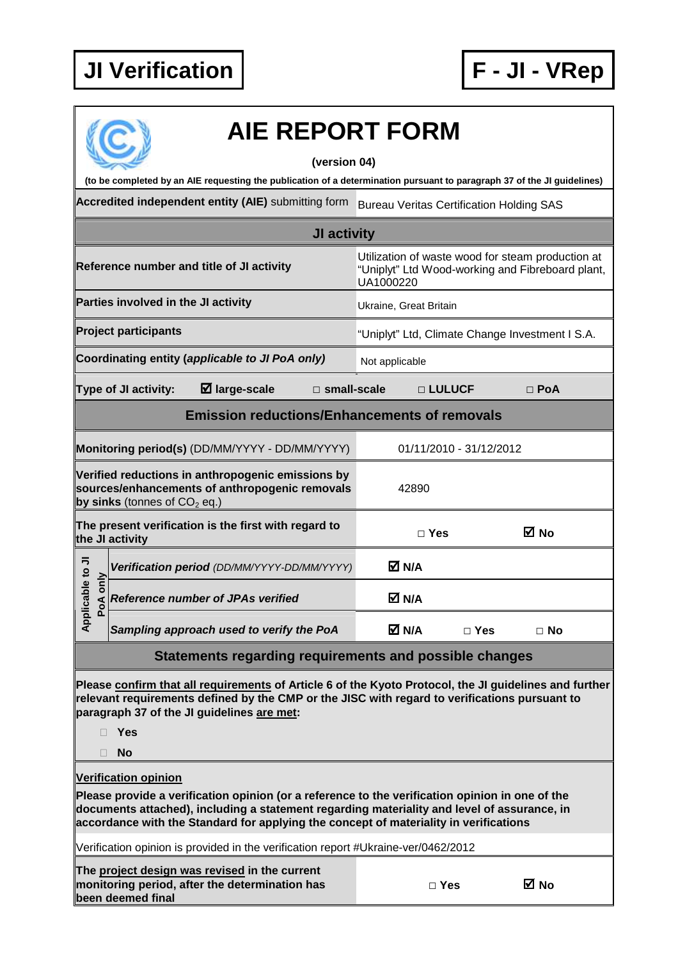

| <b>AIE REPORT FORM</b>                                                                                                                                                                                                                                                                  |                                                                                                                    |            |            |  |  |  |  |
|-----------------------------------------------------------------------------------------------------------------------------------------------------------------------------------------------------------------------------------------------------------------------------------------|--------------------------------------------------------------------------------------------------------------------|------------|------------|--|--|--|--|
| (version 04)<br>(to be completed by an AIE requesting the publication of a determination pursuant to paragraph 37 of the JI guidelines)                                                                                                                                                 |                                                                                                                    |            |            |  |  |  |  |
| Accredited independent entity (AIE) submitting form                                                                                                                                                                                                                                     | <b>Bureau Veritas Certification Holding SAS</b>                                                                    |            |            |  |  |  |  |
|                                                                                                                                                                                                                                                                                         |                                                                                                                    |            |            |  |  |  |  |
| JI activity                                                                                                                                                                                                                                                                             |                                                                                                                    |            |            |  |  |  |  |
| Reference number and title of JI activity                                                                                                                                                                                                                                               | Utilization of waste wood for steam production at<br>"Uniplyt" Ltd Wood-working and Fibreboard plant,<br>UA1000220 |            |            |  |  |  |  |
| Parties involved in the JI activity                                                                                                                                                                                                                                                     | Ukraine, Great Britain                                                                                             |            |            |  |  |  |  |
| <b>Project participants</b>                                                                                                                                                                                                                                                             | "Uniplyt" Ltd, Climate Change Investment I S.A.                                                                    |            |            |  |  |  |  |
| Coordinating entity (applicable to JI PoA only)                                                                                                                                                                                                                                         | Not applicable                                                                                                     |            |            |  |  |  |  |
| $\boxtimes$ large-scale<br>Type of JI activity:<br>$\Box$ small-scale                                                                                                                                                                                                                   |                                                                                                                    | □ LULUCF   | $\Box$ PoA |  |  |  |  |
| <b>Emission reductions/Enhancements of removals</b>                                                                                                                                                                                                                                     |                                                                                                                    |            |            |  |  |  |  |
| Monitoring period(s) (DD/MM/YYYY - DD/MM/YYYY)                                                                                                                                                                                                                                          | 01/11/2010 - 31/12/2012                                                                                            |            |            |  |  |  |  |
| Verified reductions in anthropogenic emissions by<br>sources/enhancements of anthropogenic removals<br>by sinks (tonnes of $CO2$ eq.)                                                                                                                                                   | 42890                                                                                                              |            |            |  |  |  |  |
| The present verification is the first with regard to<br>the JI activity                                                                                                                                                                                                                 | $\Box$ Yes                                                                                                         |            | ⊠ No       |  |  |  |  |
| Verification period (DD/MM/YYYY-DD/MM/YYYY)                                                                                                                                                                                                                                             | M N/A                                                                                                              |            |            |  |  |  |  |
| licable to JI<br>oA only<br><b>Reference number of JPAs verified</b>                                                                                                                                                                                                                    | M N/A                                                                                                              |            |            |  |  |  |  |
| $\overline{A}^{\text{p}}$<br>Sampling approach used to verify the PoA                                                                                                                                                                                                                   | M N/A                                                                                                              | $\Box$ Yes | $\Box$ No  |  |  |  |  |
| Statements regarding requirements and possible changes                                                                                                                                                                                                                                  |                                                                                                                    |            |            |  |  |  |  |
| Please confirm that all requirements of Article 6 of the Kyoto Protocol, the JI guidelines and further<br>relevant requirements defined by the CMP or the JISC with regard to verifications pursuant to<br>paragraph 37 of the JI guidelines are met:<br>Yes<br><b>No</b>               |                                                                                                                    |            |            |  |  |  |  |
| <b>Verification opinion</b>                                                                                                                                                                                                                                                             |                                                                                                                    |            |            |  |  |  |  |
| Please provide a verification opinion (or a reference to the verification opinion in one of the<br>documents attached), including a statement regarding materiality and level of assurance, in<br>accordance with the Standard for applying the concept of materiality in verifications |                                                                                                                    |            |            |  |  |  |  |
| Verification opinion is provided in the verification report #Ukraine-ver/0462/2012                                                                                                                                                                                                      |                                                                                                                    |            |            |  |  |  |  |
| The project design was revised in the current<br>monitoring period, after the determination has<br>been deemed final                                                                                                                                                                    | $\Box$ Yes                                                                                                         |            | M No       |  |  |  |  |